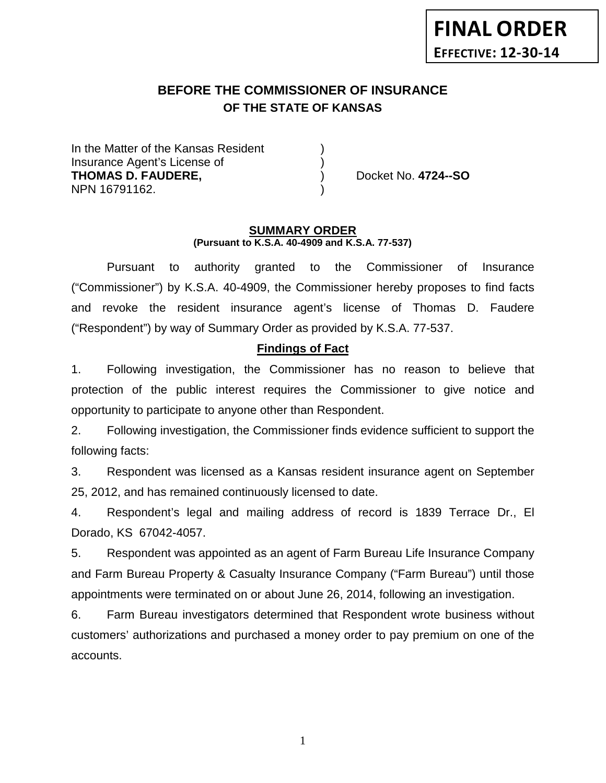# **BEFORE THE COMMISSIONER OF INSURANCE OF THE STATE OF KANSAS**

In the Matter of the Kansas Resident Insurance Agent's License of ) **THOMAS D. FAUDERE,** ) Docket No. **4724--SO** NPN 16791162. )

#### **SUMMARY ORDER (Pursuant to K.S.A. 40-4909 and K.S.A. 77-537)**

Pursuant to authority granted to the Commissioner of Insurance ("Commissioner") by K.S.A. 40-4909, the Commissioner hereby proposes to find facts and revoke the resident insurance agent's license of Thomas D. Faudere ("Respondent") by way of Summary Order as provided by K.S.A. 77-537.

### **Findings of Fact**

1. Following investigation, the Commissioner has no reason to believe that protection of the public interest requires the Commissioner to give notice and opportunity to participate to anyone other than Respondent.

2. Following investigation, the Commissioner finds evidence sufficient to support the following facts:

3. Respondent was licensed as a Kansas resident insurance agent on September 25, 2012, and has remained continuously licensed to date.

4. Respondent's legal and mailing address of record is 1839 Terrace Dr., El Dorado, KS 67042-4057.

5. Respondent was appointed as an agent of Farm Bureau Life Insurance Company and Farm Bureau Property & Casualty Insurance Company ("Farm Bureau") until those appointments were terminated on or about June 26, 2014, following an investigation.

6. Farm Bureau investigators determined that Respondent wrote business without customers' authorizations and purchased a money order to pay premium on one of the accounts.

1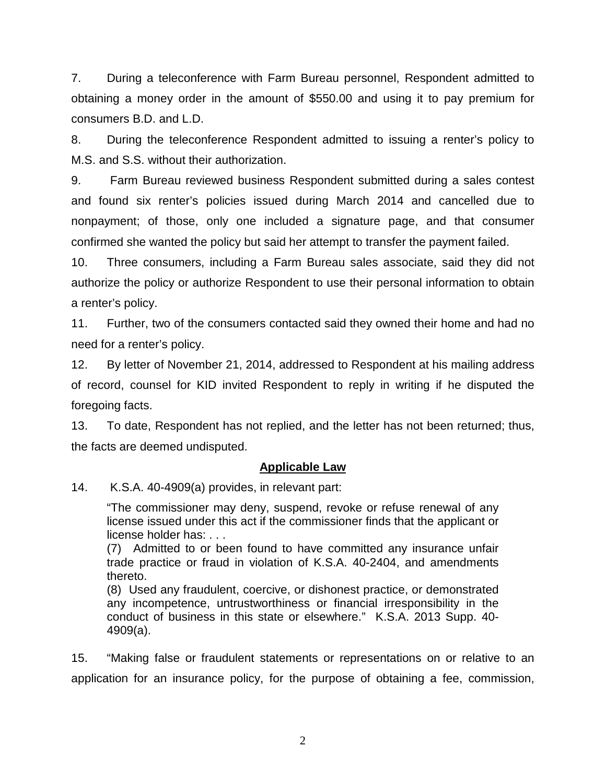7. During a teleconference with Farm Bureau personnel, Respondent admitted to obtaining a money order in the amount of \$550.00 and using it to pay premium for consumers B.D. and L.D.

8. During the teleconference Respondent admitted to issuing a renter's policy to M.S. and S.S. without their authorization.

9. Farm Bureau reviewed business Respondent submitted during a sales contest and found six renter's policies issued during March 2014 and cancelled due to nonpayment; of those, only one included a signature page, and that consumer confirmed she wanted the policy but said her attempt to transfer the payment failed.

10. Three consumers, including a Farm Bureau sales associate, said they did not authorize the policy or authorize Respondent to use their personal information to obtain a renter's policy.

11. Further, two of the consumers contacted said they owned their home and had no need for a renter's policy.

12. By letter of November 21, 2014, addressed to Respondent at his mailing address of record, counsel for KID invited Respondent to reply in writing if he disputed the foregoing facts.

13. To date, Respondent has not replied, and the letter has not been returned; thus, the facts are deemed undisputed.

### **Applicable Law**

14. K.S.A. 40-4909(a) provides, in relevant part:

"The commissioner may deny, suspend, revoke or refuse renewal of any license issued under this act if the commissioner finds that the applicant or license holder has: . . .

(7) Admitted to or been found to have committed any insurance unfair trade practice or fraud in violation of K.S.A. 40-2404, and amendments thereto.

(8) Used any fraudulent, coercive, or dishonest practice, or demonstrated any incompetence, untrustworthiness or financial irresponsibility in the conduct of business in this state or elsewhere." K.S.A. 2013 Supp. 40- 4909(a).

15. "Making false or fraudulent statements or representations on or relative to an application for an insurance policy, for the purpose of obtaining a fee, commission,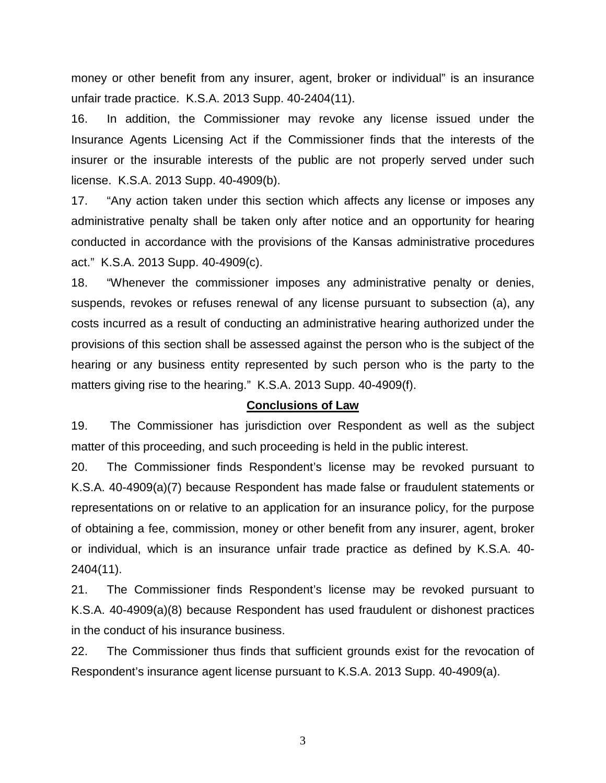money or other benefit from any insurer, agent, broker or individual" is an insurance unfair trade practice. K.S.A. 2013 Supp. 40-2404(11).

16. In addition, the Commissioner may revoke any license issued under the Insurance Agents Licensing Act if the Commissioner finds that the interests of the insurer or the insurable interests of the public are not properly served under such license. K.S.A. 2013 Supp. 40-4909(b).

17. "Any action taken under this section which affects any license or imposes any administrative penalty shall be taken only after notice and an opportunity for hearing conducted in accordance with the provisions of the Kansas administrative procedures act." K.S.A. 2013 Supp. 40-4909(c).

18. "Whenever the commissioner imposes any administrative penalty or denies, suspends, revokes or refuses renewal of any license pursuant to subsection (a), any costs incurred as a result of conducting an administrative hearing authorized under the provisions of this section shall be assessed against the person who is the subject of the hearing or any business entity represented by such person who is the party to the matters giving rise to the hearing." K.S.A. 2013 Supp. 40-4909(f).

#### **Conclusions of Law**

19. The Commissioner has jurisdiction over Respondent as well as the subject matter of this proceeding, and such proceeding is held in the public interest.

20. The Commissioner finds Respondent's license may be revoked pursuant to K.S.A. 40-4909(a)(7) because Respondent has made false or fraudulent statements or representations on or relative to an application for an insurance policy, for the purpose of obtaining a fee, commission, money or other benefit from any insurer, agent, broker or individual, which is an insurance unfair trade practice as defined by K.S.A. 40- 2404(11).

21. The Commissioner finds Respondent's license may be revoked pursuant to K.S.A. 40-4909(a)(8) because Respondent has used fraudulent or dishonest practices in the conduct of his insurance business.

22. The Commissioner thus finds that sufficient grounds exist for the revocation of Respondent's insurance agent license pursuant to K.S.A. 2013 Supp. 40-4909(a).

3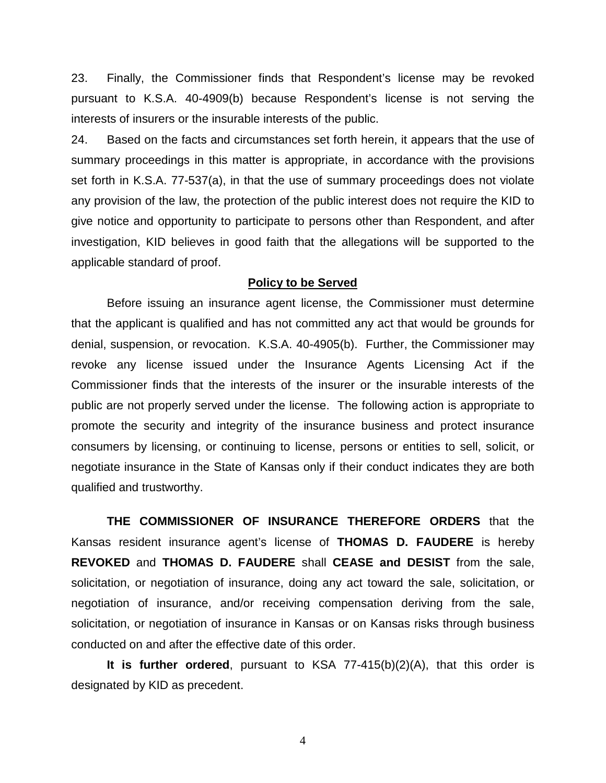23. Finally, the Commissioner finds that Respondent's license may be revoked pursuant to K.S.A. 40-4909(b) because Respondent's license is not serving the interests of insurers or the insurable interests of the public.

24. Based on the facts and circumstances set forth herein, it appears that the use of summary proceedings in this matter is appropriate, in accordance with the provisions set forth in K.S.A. 77-537(a), in that the use of summary proceedings does not violate any provision of the law, the protection of the public interest does not require the KID to give notice and opportunity to participate to persons other than Respondent, and after investigation, KID believes in good faith that the allegations will be supported to the applicable standard of proof.

#### **Policy to be Served**

Before issuing an insurance agent license, the Commissioner must determine that the applicant is qualified and has not committed any act that would be grounds for denial, suspension, or revocation. K.S.A. 40-4905(b). Further, the Commissioner may revoke any license issued under the Insurance Agents Licensing Act if the Commissioner finds that the interests of the insurer or the insurable interests of the public are not properly served under the license. The following action is appropriate to promote the security and integrity of the insurance business and protect insurance consumers by licensing, or continuing to license, persons or entities to sell, solicit, or negotiate insurance in the State of Kansas only if their conduct indicates they are both qualified and trustworthy.

**THE COMMISSIONER OF INSURANCE THEREFORE ORDERS** that the Kansas resident insurance agent's license of **THOMAS D. FAUDERE** is hereby **REVOKED** and **THOMAS D. FAUDERE** shall **CEASE and DESIST** from the sale, solicitation, or negotiation of insurance, doing any act toward the sale, solicitation, or negotiation of insurance, and/or receiving compensation deriving from the sale, solicitation, or negotiation of insurance in Kansas or on Kansas risks through business conducted on and after the effective date of this order.

**It is further ordered**, pursuant to KSA 77-415(b)(2)(A), that this order is designated by KID as precedent.

4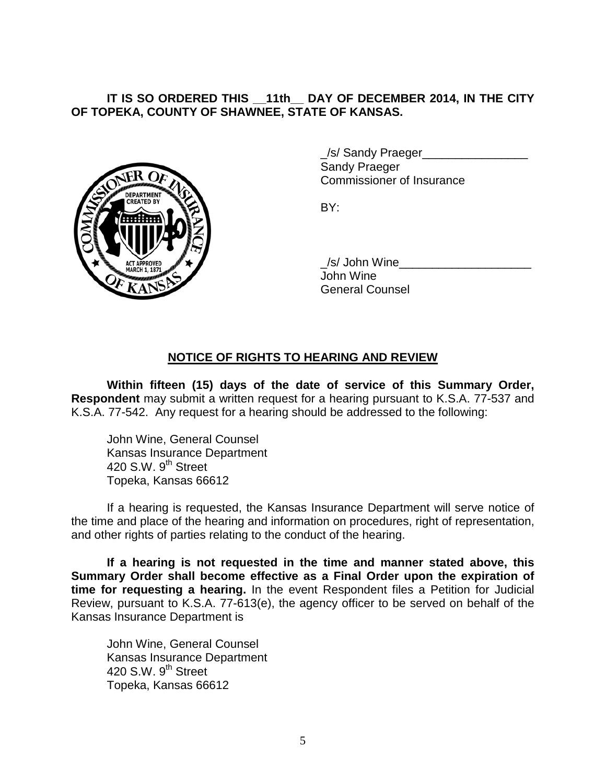# **IT IS SO ORDERED THIS \_\_11th\_\_ DAY OF DECEMBER 2014, IN THE CITY OF TOPEKA, COUNTY OF SHAWNEE, STATE OF KANSAS.**



/s/ Sandy Praeger Sandy Praeger Commissioner of Insurance

BY:

/s/ John Wine John Wine General Counsel

# **NOTICE OF RIGHTS TO HEARING AND REVIEW**

**Within fifteen (15) days of the date of service of this Summary Order, Respondent** may submit a written request for a hearing pursuant to K.S.A. 77-537 and K.S.A. 77-542. Any request for a hearing should be addressed to the following:

John Wine, General Counsel Kansas Insurance Department 420 S.W.  $9^{th}$  Street Topeka, Kansas 66612

If a hearing is requested, the Kansas Insurance Department will serve notice of the time and place of the hearing and information on procedures, right of representation, and other rights of parties relating to the conduct of the hearing.

**If a hearing is not requested in the time and manner stated above, this Summary Order shall become effective as a Final Order upon the expiration of time for requesting a hearing.** In the event Respondent files a Petition for Judicial Review, pursuant to K.S.A. 77-613(e), the agency officer to be served on behalf of the Kansas Insurance Department is

John Wine, General Counsel Kansas Insurance Department 420 S.W.  $9<sup>th</sup>$  Street Topeka, Kansas 66612